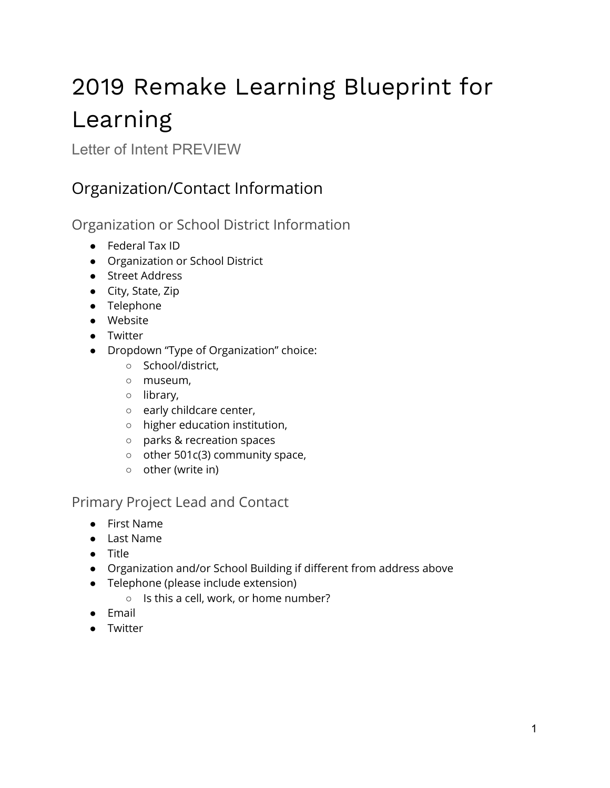# 2019 Remake Learning Blueprint for Learning

Letter of Intent PREVIEW

## Organization/Contact Information

Organization or School District Information

- Federal Tax ID
- Organization or School District
- Street Address
- City, State, Zip
- Telephone
- Website
- Twitter
- Dropdown "Type of Organization" choice:
	- School/district,
	- museum,
	- library,
	- early childcare center,
	- higher education institution,
	- parks & recreation spaces
	- other 501c(3) community space,
	- other (write in)

#### Primary Project Lead and Contact

- First Name
- Last Name
- Title
- Organization and/or School Building if different from address above
- Telephone (please include extension)
	- Is this a cell, work, or home number?
- Email
- Twitter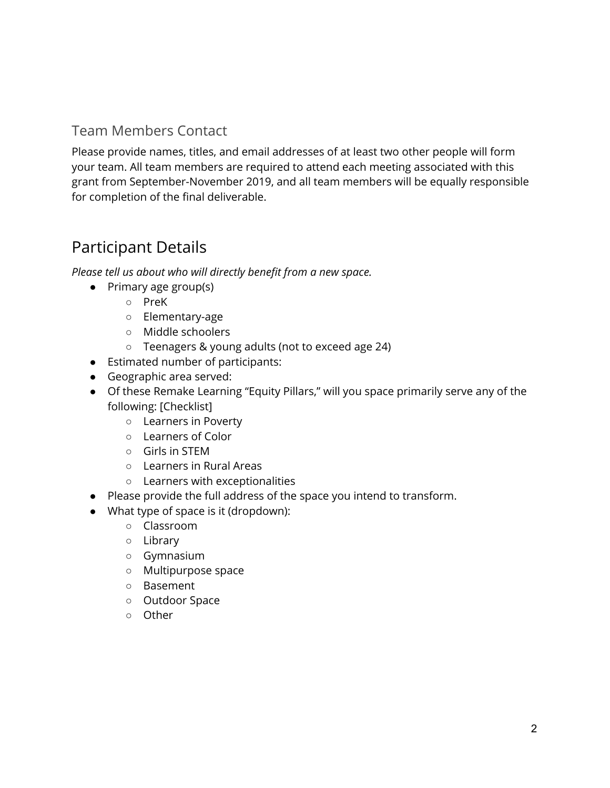#### Team Members Contact

Please provide names, titles, and email addresses of at least two other people will form your team. All team members are required to attend each meeting associated with this grant from September-November 2019, and all team members will be equally responsible for completion of the final deliverable.

### Participant Details

*Please tell us about who will directly benefit from a new space.*

- Primary age group(s)
	- PreK
	- Elementary-age
	- Middle schoolers
	- Teenagers & young adults (not to exceed age 24)
- Estimated number of participants:
- Geographic area served:
- Of these Remake Learning "Equity Pillars," will you space primarily serve any of the following: [Checklist]
	- Learners in Poverty
	- Learners of Color
	- Girls in STEM
	- Learners in Rural Areas
	- Learners with exceptionalities
- Please provide the full address of the space you intend to transform.
- What type of space is it (dropdown):
	- Classroom
	- Library
	- Gymnasium
	- Multipurpose space
	- Basement
	- Outdoor Space
	- Other